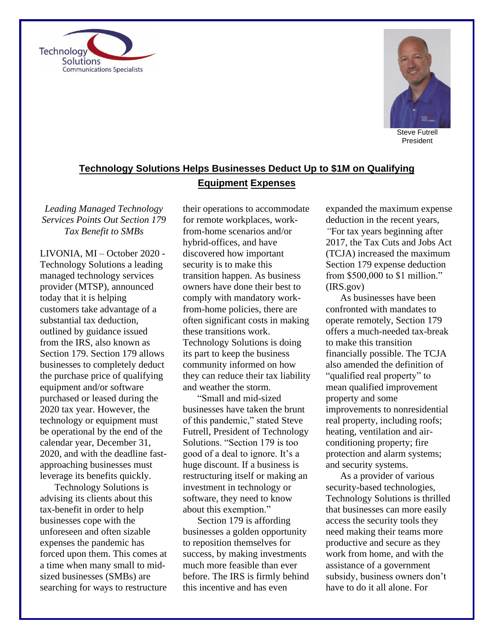



Steve Futrell President

## **Technology Solutions Helps Businesses Deduct Up to \$1M on Qualifying Equipment Expenses**

*Leading Managed Technology Services Points Out Section 179 Tax Benefit to SMBs*

LIVONIA, MI – October 2020 - Technology Solutions a leading managed technology services provider (MTSP), announced today that it is helping customers take advantage of a substantial tax deduction, outlined by guidance issued from the IRS, also known as Section 179. Section 179 allows businesses to completely deduct the purchase price of qualifying equipment and/or software purchased or leased during the 2020 tax year. However, the technology or equipment must be operational by the end of the calendar year, December 31, 2020, and with the deadline fastapproaching businesses must leverage its benefits quickly.

Technology Solutions is advising its clients about this tax-benefit in order to help businesses cope with the unforeseen and often sizable expenses the pandemic has forced upon them. This comes at a time when many small to midsized businesses (SMBs) are searching for ways to restructure

their operations to accommodate for remote workplaces, workfrom-home scenarios and/or hybrid-offices, and have discovered how important security is to make this transition happen. As business owners have done their best to comply with mandatory workfrom-home policies, there are often significant costs in making these transitions work. Technology Solutions is doing its part to keep the business community informed on how they can reduce their tax liability and weather the storm.

"Small and mid-sized businesses have taken the brunt of this pandemic," stated Steve Futrell, President of Technology Solutions. "Section 179 is too good of a deal to ignore. It's a huge discount. If a business is restructuring itself or making an investment in technology or software, they need to know about this exemption."

Section 179 is affording businesses a golden opportunity to reposition themselves for success, by making investments much more feasible than ever before. The IRS is firmly behind this incentive and has even

expanded the maximum expense deduction in the recent years, *"*For tax years beginning after 2017, the Tax Cuts and Jobs Act (TCJA) increased the maximum Section 179 expense deduction from \$500,000 to \$1 million." (IRS.gov)

As businesses have been confronted with mandates to operate remotely, Section 179 offers a much-needed tax-break to make this transition financially possible. The TCJA also amended the definition of "qualified real property" to mean qualified improvement property and some improvements to nonresidential real property, including roofs; heating, ventilation and airconditioning property; fire protection and alarm systems; and security systems.

As a provider of various security-based technologies, Technology Solutions is thrilled that businesses can more easily access the security tools they need making their teams more productive and secure as they work from home, and with the assistance of a government subsidy, business owners don't have to do it all alone. For